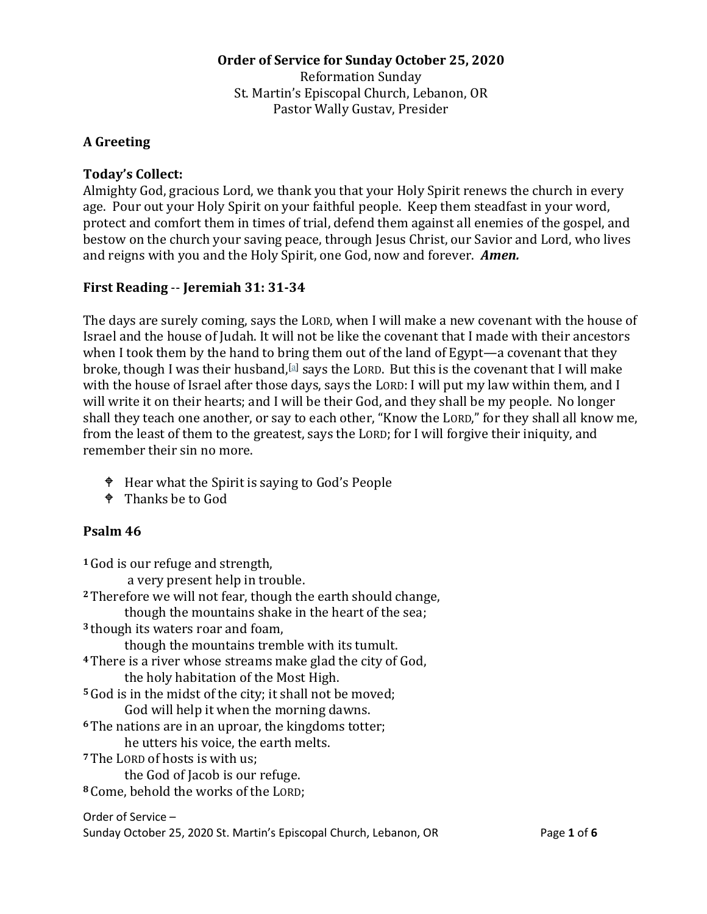# **Order of Service for Sunday October 25, 2020** Reformation Sunday St. Martin's Episcopal Church, Lebanon, OR Pastor Wally Gustav, Presider

## **A Greeting**

#### **Today's Collect:**

Almighty God, gracious Lord, we thank you that your Holy Spirit renews the church in every age. Pour out your Holy Spirit on your faithful people. Keep them steadfast in your word, protect and comfort them in times of trial, defend them against all enemies of the gospel, and bestow on the church your saving peace, through Jesus Christ, our Savior and Lord, who lives and reigns with you and the Holy Spirit, one God, now and forever. *Amen.* 

### **First Reading** -- **Jeremiah 31: 31-34**

The days are surely coming, says the LORD, when I will make a new covenant with the house of Israel and the house of Judah. It will not be like the covenant that I made with their ancestors when I took them by the hand to bring them out of the land of Egypt—a covenant that they broke, though I was their husband, [\[a\]](https://www.biblegateway.com/passage/?search=Jeremiah+31%3A+31-34&version=NRSV#fen-NRSV-19724a) says the LORD. But this is the covenant that I will make with the house of Israel after those days, says the LORD: I will put my law within them, and I will write it on their hearts; and I will be their God, and they shall be my people. No longer shall they teach one another, or say to each other, "Know the LORD," for they shall all know me, from the least of them to the greatest, says the LORD; for I will forgive their iniquity, and remember their sin no more.

- Hear what the Spirit is saying to God's People
- <sup> $\bullet$ </sup> Thanks be to God

### **Psalm 46**

**<sup>1</sup>** God is our refuge and strength, a very present help in trouble. **<sup>2</sup>** Therefore we will not fear, though the earth should change, though the mountains shake in the heart of the sea; **<sup>3</sup>** though its waters roar and foam, though the mountains tremble with its tumult. **<sup>4</sup>** There is a river whose streams make glad the city of God, the holy habitation of the Most High. **<sup>5</sup>** God is in the midst of the city; it shall not be moved; God will help it when the morning dawns. **<sup>6</sup>** The nations are in an uproar, the kingdoms totter; he utters his voice, the earth melts. **<sup>7</sup>** The LORD of hosts is with us; the God of Jacob is our refuge. **<sup>8</sup>** Come, behold the works of the LORD;

Order of Service – Sunday October 25, 2020 St. Martin's Episcopal Church, Lebanon, OR Page **1** of **6**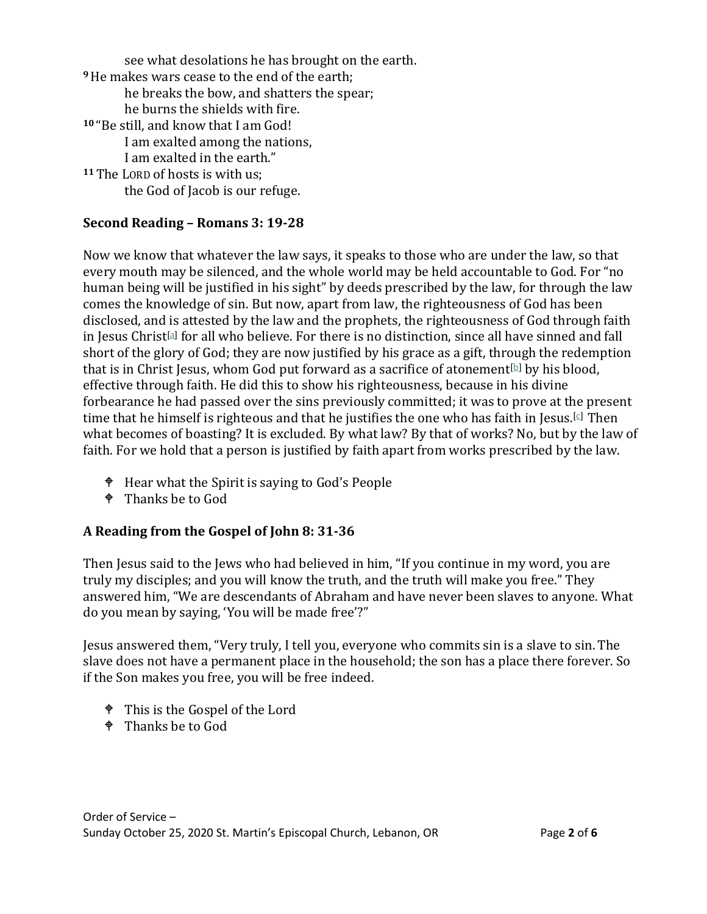see what desolations he has brought on the earth. **<sup>9</sup>**He makes wars cease to the end of the earth; he breaks the bow, and shatters the spear; he burns the shields with fire. **<sup>10</sup>** "Be still, and know that I am God! I am exalted among the nations, I am exalted in the earth." **<sup>11</sup>** The LORD of hosts is with us; the God of Jacob is our refuge.

## **Second Reading – Romans 3: 19-28**

Now we know that whatever the law says, it speaks to those who are under the law, so that every mouth may be silenced, and the whole world may be held accountable to God. For "no human being will be justified in his sight" by deeds prescribed by the law, for through the law comes the knowledge of sin. But now, apart from law, the righteousness of God has been disclosed, and is attested by the law and the prophets, the righteousness of God through faith in Jesus Christ<sup>[\[a\]](https://www.biblegateway.com/passage/?search=Romans%203%3A19-28&version=NRSV#fen-NRSV-27999a)</sup> for all who believe. For there is no distinction, since all have sinned and fall short of the glory of God; they are now justified by his grace as a gift, through the redemption that is in Christ Jesus, whom God put forward as a sacrifice of atonement<sup>[\[b\]](https://www.biblegateway.com/passage/?search=Romans%203%3A19-28&version=NRSV#fen-NRSV-28002b)</sup> by his blood, effective through faith. He did this to show his righteousness, because in his divine forbearance he had passed over the sins previously committed; it was to prove at the present time that he himself is righteous and that he justifies the one who has faith in Jesus.<sup>[\[c\]](https://www.biblegateway.com/passage/?search=Romans%203%3A19-28&version=NRSV#fen-NRSV-28003c)</sup> Then what becomes of boasting? It is excluded. By what law? By that of works? No, but by the law of faith. For we hold that a person is justified by faith apart from works prescribed by the law.

- Hear what the Spirit is saying to God's People
- <sup> $\bullet$ </sup> Thanks be to God

### **A Reading from the Gospel of John 8: 31-36**

Then Jesus said to the Jews who had believed in him, "If you continue in my word, you are truly my disciples; and you will know the truth, and the truth will make you free." They answered him, "We are descendants of Abraham and have never been slaves to anyone. What do you mean by saying, 'You will be made free'?"

Jesus answered them, "Very truly, I tell you, everyone who commits sin is a slave to sin. The slave does not have a permanent place in the household; the son has a place there forever. So if the Son makes you free, you will be free indeed.

- This is the Gospel of the Lord
- $\bullet$  Thanks be to God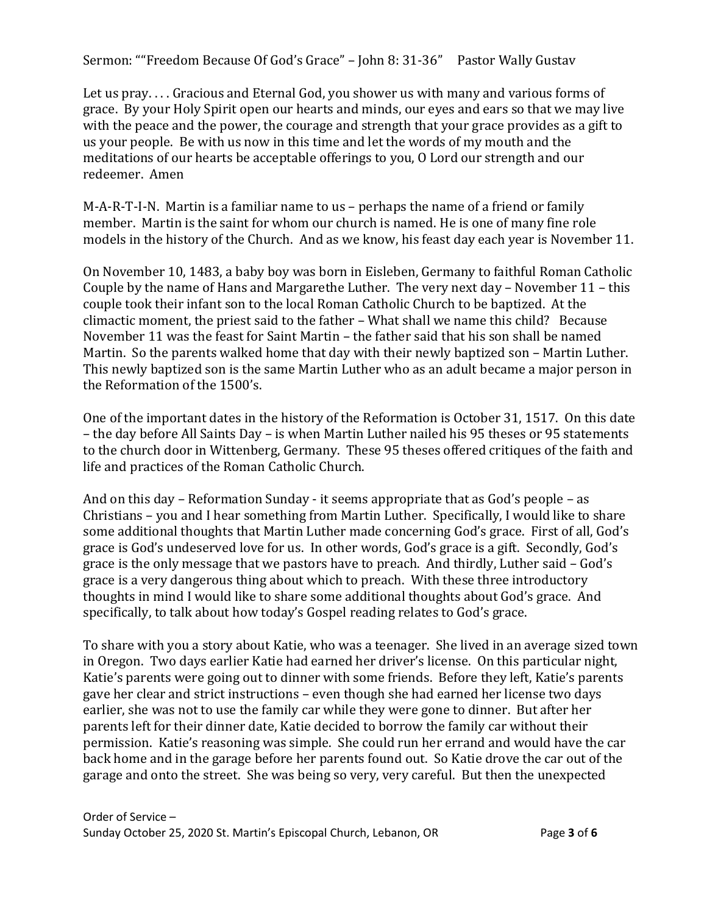Sermon: ""Freedom Because Of God's Grace" - John 8: 31-36" Pastor Wally Gustav

Let us pray. . . . Gracious and Eternal God, you shower us with many and various forms of grace. By your Holy Spirit open our hearts and minds, our eyes and ears so that we may live with the peace and the power, the courage and strength that your grace provides as a gift to us your people. Be with us now in this time and let the words of my mouth and the meditations of our hearts be acceptable offerings to you, O Lord our strength and our redeemer. Amen

M-A-R-T-I-N. Martin is a familiar name to us – perhaps the name of a friend or family member. Martin is the saint for whom our church is named. He is one of many fine role models in the history of the Church. And as we know, his feast day each year is November 11.

On November 10, 1483, a baby boy was born in Eisleben, Germany to faithful Roman Catholic Couple by the name of Hans and Margarethe Luther. The very next day – November 11 – this couple took their infant son to the local Roman Catholic Church to be baptized. At the climactic moment, the priest said to the father – What shall we name this child? Because November 11 was the feast for Saint Martin – the father said that his son shall be named Martin. So the parents walked home that day with their newly baptized son – Martin Luther. This newly baptized son is the same Martin Luther who as an adult became a major person in the Reformation of the 1500's.

One of the important dates in the history of the Reformation is October 31, 1517. On this date – the day before All Saints Day – is when Martin Luther nailed his 95 theses or 95 statements to the church door in Wittenberg, Germany. These 95 theses offered critiques of the faith and life and practices of the Roman Catholic Church.

And on this day – Reformation Sunday - it seems appropriate that as God's people – as Christians – you and I hear something from Martin Luther. Specifically, I would like to share some additional thoughts that Martin Luther made concerning God's grace. First of all, God's grace is God's undeserved love for us. In other words, God's grace is a gift. Secondly, God's grace is the only message that we pastors have to preach. And thirdly, Luther said – God's grace is a very dangerous thing about which to preach. With these three introductory thoughts in mind I would like to share some additional thoughts about God's grace. And specifically, to talk about how today's Gospel reading relates to God's grace.

To share with you a story about Katie, who was a teenager. She lived in an average sized town in Oregon. Two days earlier Katie had earned her driver's license. On this particular night, Katie's parents were going out to dinner with some friends. Before they left, Katie's parents gave her clear and strict instructions – even though she had earned her license two days earlier, she was not to use the family car while they were gone to dinner. But after her parents left for their dinner date, Katie decided to borrow the family car without their permission. Katie's reasoning was simple. She could run her errand and would have the car back home and in the garage before her parents found out. So Katie drove the car out of the garage and onto the street. She was being so very, very careful. But then the unexpected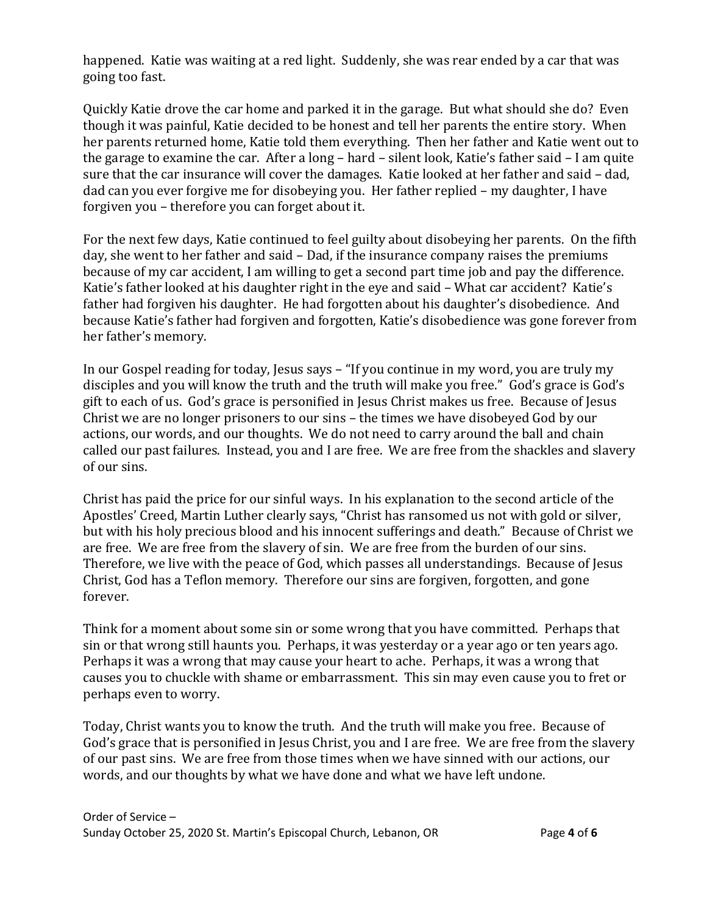happened. Katie was waiting at a red light. Suddenly, she was rear ended by a car that was going too fast.

Quickly Katie drove the car home and parked it in the garage. But what should she do? Even though it was painful, Katie decided to be honest and tell her parents the entire story. When her parents returned home, Katie told them everything. Then her father and Katie went out to the garage to examine the car. After a long – hard – silent look, Katie's father said – I am quite sure that the car insurance will cover the damages. Katie looked at her father and said – dad, dad can you ever forgive me for disobeying you. Her father replied – my daughter, I have forgiven you – therefore you can forget about it.

For the next few days, Katie continued to feel guilty about disobeying her parents. On the fifth day, she went to her father and said – Dad, if the insurance company raises the premiums because of my car accident, I am willing to get a second part time job and pay the difference. Katie's father looked at his daughter right in the eye and said – What car accident? Katie's father had forgiven his daughter. He had forgotten about his daughter's disobedience. And because Katie's father had forgiven and forgotten, Katie's disobedience was gone forever from her father's memory.

In our Gospel reading for today, Jesus says – "If you continue in my word, you are truly my disciples and you will know the truth and the truth will make you free." God's grace is God's gift to each of us. God's grace is personified in Jesus Christ makes us free. Because of Jesus Christ we are no longer prisoners to our sins – the times we have disobeyed God by our actions, our words, and our thoughts. We do not need to carry around the ball and chain called our past failures. Instead, you and I are free. We are free from the shackles and slavery of our sins.

Christ has paid the price for our sinful ways. In his explanation to the second article of the Apostles' Creed, Martin Luther clearly says, "Christ has ransomed us not with gold or silver, but with his holy precious blood and his innocent sufferings and death." Because of Christ we are free. We are free from the slavery of sin. We are free from the burden of our sins. Therefore, we live with the peace of God, which passes all understandings. Because of Jesus Christ, God has a Teflon memory. Therefore our sins are forgiven, forgotten, and gone forever.

Think for a moment about some sin or some wrong that you have committed. Perhaps that sin or that wrong still haunts you. Perhaps, it was yesterday or a year ago or ten years ago. Perhaps it was a wrong that may cause your heart to ache. Perhaps, it was a wrong that causes you to chuckle with shame or embarrassment. This sin may even cause you to fret or perhaps even to worry.

Today, Christ wants you to know the truth. And the truth will make you free. Because of God's grace that is personified in Jesus Christ, you and I are free. We are free from the slavery of our past sins. We are free from those times when we have sinned with our actions, our words, and our thoughts by what we have done and what we have left undone.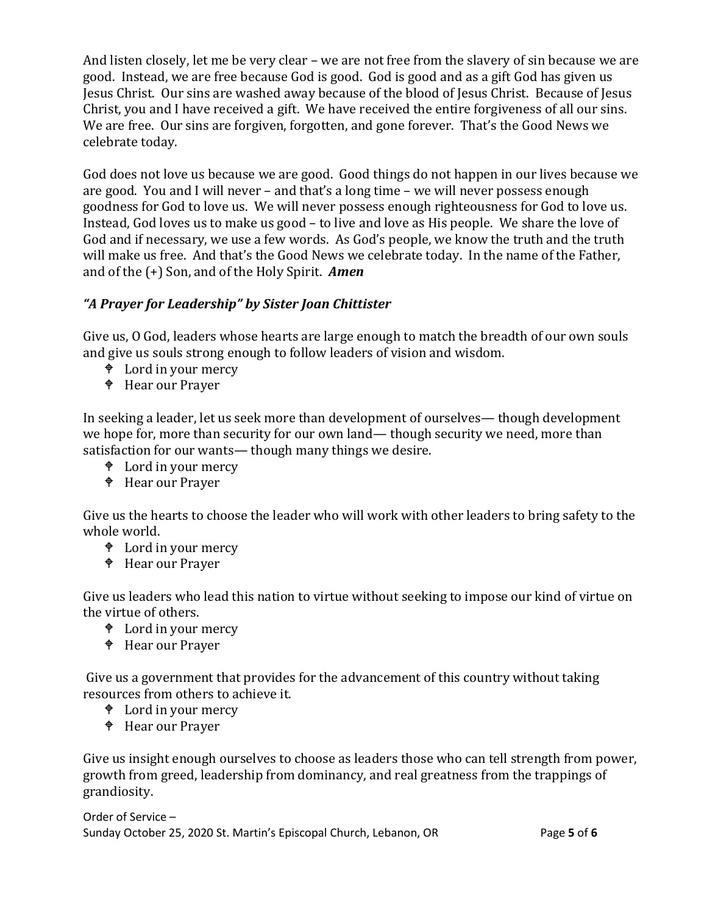And listen closely, let me be very clear – we are not free from the slavery of sin because we are good. Instead, we are free because God is good. God is good and as a gift God has given us Jesus Christ. Our sins are washed away because of the blood of Jesus Christ. Because of Jesus Christ, you and I have received a gift. We have received the entire forgiveness of all our sins. We are free. Our sins are forgiven, forgotten, and gone forever. That's the Good News we celebrate today.

God does not love us because we are good. Good things do not happen in our lives because we are good. You and I will never – and that's a long time – we will never possess enough goodness for God to love us. We will never possess enough righteousness for God to love us. Instead, God loves us to make us good – to live and love as His people. We share the love of God and if necessary, we use a few words. As God's people, we know the truth and the truth will make us free. And that's the Good News we celebrate today. In the name of the Father, and of the (+) Son, and of the Holy Spirit. *Amen*

# *"A Prayer for Leadership" by Sister Joan Chittister*

Give us, O God, leaders whose hearts are large enough to match the breadth of our own souls and give us souls strong enough to follow leaders of vision and wisdom.

- Lord in your mercy
- Hear our Prayer

In seeking a leader, let us seek more than development of ourselves— though development we hope for, more than security for our own land— though security we need, more than satisfaction for our wants— though many things we desire.

- Lord in your mercy
- Hear our Prayer

Give us the hearts to choose the leader who will work with other leaders to bring safety to the whole world.

- Lord in your mercy
- Hear our Prayer

Give us leaders who lead this nation to virtue without seeking to impose our kind of virtue on the virtue of others.

- Lord in your mercy
- Hear our Prayer

Give us a government that provides for the advancement of this country without taking resources from others to achieve it.

- <sup> $\bullet$ </sup> Lord in your mercy
- Hear our Prayer

Give us insight enough ourselves to choose as leaders those who can tell strength from power, growth from greed, leadership from dominancy, and real greatness from the trappings of grandiosity.

Order of Service – Sunday October 25, 2020 St. Martin's Episcopal Church, Lebanon, OR Page **5** of **6**